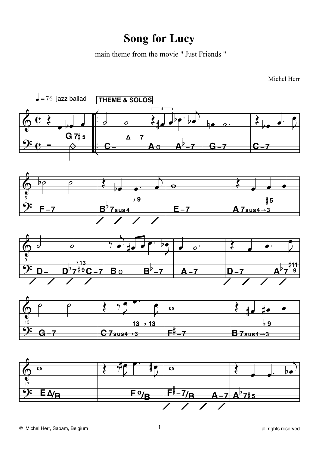## **Song for Lucy**

main theme from the movie " Just Friends "

Michel Herr